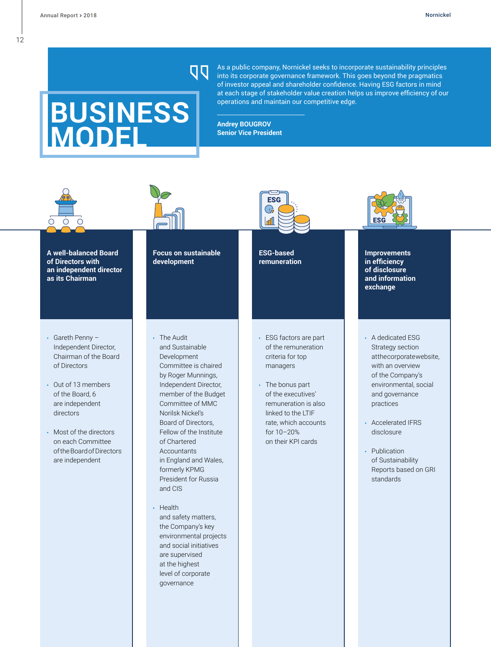12

## **BUSINESS MODEL**

As a public company, Nornickel seeks to incorporate sustainability principles into its corporate governance framework. This goes beyond the pragmatics of investor appeal and shareholder confidence. Having ESG factors in mind at each stage of stakeholder value creation helps us improve efficiency of our operations and maintain our competitive edge.

**Andrey BOUGROV Senior Vice President**



**A well-balanced Board of Directors with an independent director as its Chairman**

- **•** Gareth Penny Independent Director, Chairman of the Board of Directors
- **•** Out of 13 members of the Board, 6 are independent directors
- **•** Most of the directors on each Committee of the Board of Directors are independent



**Focus on sustainable development**

 $\overline{u}$ 



**ESG-based remuneration**

- **•** The Audit and Sustainable Development Committee is chaired by Roger Munnings, Independent Director, member of the Budget Committee of MMC Norilsk Nickel's Board of Directors, Fellow of the Institute of Chartered **Accountants** in England and Wales, formerly KPMG President for Russia and CIS
- **•** Health and safety matters, the Company's key environmental projects and social initiatives are supervised at the highest level of corporate governance
- **•** ESG factors are part of the remuneration criteria for top managers
- **•** The bonus part of the executives' remuneration is also linked to the LTIF rate, which accounts for 10–20% on their KPI cards



**Improvements in efficiency of disclosure and information exchange**

- **•** A dedicated ESG Strategy section at the corporate website, with an overview of the Company's environmental, social and governance practices
- **•** Accelerated IFRS disclosure
- **•** Publication of Sustainability Reports based on GRI standards